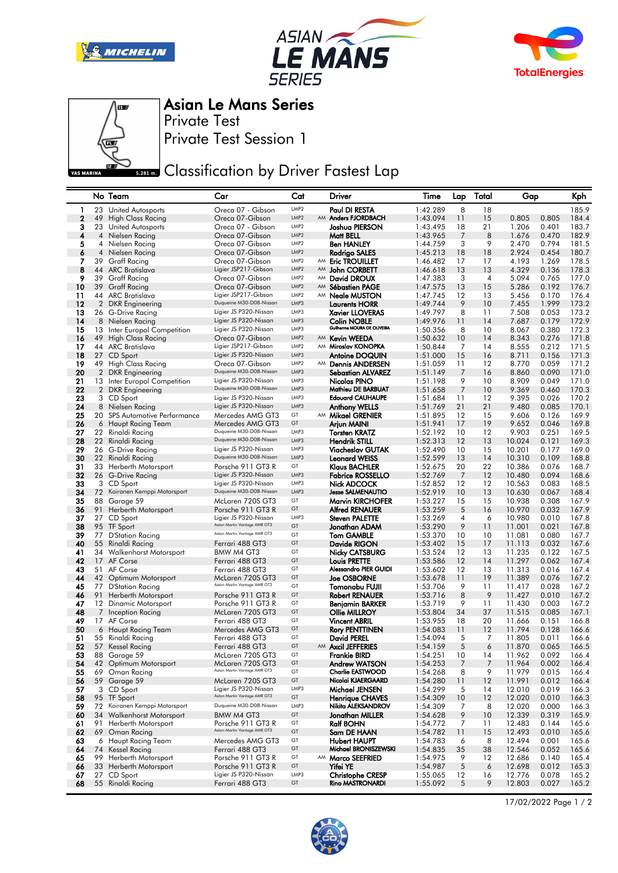







Asian Le Mans Series

Private Test Session 1 Private Test

## **Classification by Driver Fastest Lap**

|                |                | No Team                                          | Car                                                   | Cat                                  |    | Driver                                            | Time                 | Lap            | Total    | Gap              |                | Kph            |
|----------------|----------------|--------------------------------------------------|-------------------------------------------------------|--------------------------------------|----|---------------------------------------------------|----------------------|----------------|----------|------------------|----------------|----------------|
| 1              | 23             | United Autosports                                | Oreca 07 - Gibson                                     | LMP <sub>2</sub>                     |    | Paul DI RESTA                                     | 1:42.289             | 8              | 18       |                  |                | 185.9          |
| $\overline{2}$ | 49             | <b>High Class Racing</b>                         | Oreca 07-Gibson                                       | LMP <sub>2</sub>                     |    | AM Anders FJORDBACH                               | 1:43.094             | 11             | 15       | 0.805            | 0.805          | 184.4          |
| з              | 23             | <b>United Autosports</b>                         | Oreca 07 - Gibson                                     | LMP <sub>2</sub>                     |    | Joshua PIERSON                                    | 1:43.495             | 18             | 21       | 1.206            | 0.401          | 183.7          |
| 4              | 4              | Nielsen Racing                                   | Oreca 07-Gibson                                       | LMP <sub>2</sub>                     |    | Matt BELL                                         | 1:43.965             | 7              | 8        | 1.676            | 0.470          | 182.9          |
| 5              | 4              | Nielsen Racing                                   | Oreca 07-Gibson                                       | LMP <sub>2</sub><br>LMP <sub>2</sub> |    | Ben HANLEY                                        | 1:44.759             | 3              | 9        | 2.470            | 0.794          | 181.5          |
| 6<br>7         | 4              | Nielsen Racing<br>39 Graff Racing                | Oreca 07-Gibson<br>Oreca 07-Gibson                    | LMP <sub>2</sub>                     |    | Rodrigo SALES<br>AM Eric TROUILLET                | 1:45.213<br>1:46.482 | 18<br>17       | 18<br>17 | 2.924<br>4.193   | 0.454<br>1.269 | 180.7<br>178.5 |
| 8              |                | 44 ARC Bratislava                                | Ligier JSP217-Gibson                                  | LMP <sub>2</sub>                     | AM | John CORBETT                                      | 1:46.618             | 13             | 13       | 4.329            | 0.136          | 178.3          |
| 9              | 39             | Graff Racing                                     | Oreca 07-Gibson                                       | LMP2                                 | AM | <b>David DROUX</b>                                | 1:47.383             | 3              | 4        | 5.094            | 0.765          | 177.0          |
| 10             | 39             | <b>Graff Racing</b>                              | Oreca 07-Gibson                                       | LMP <sub>2</sub>                     |    | AM Sébastien PAGE                                 | 1:47.575             | 13             | 15       | 5.286            | 0.192          | 176.7          |
| 11             |                | 44 ARC Bratislava                                | Ligier JSP217-Gibson                                  | LMP <sub>2</sub>                     |    | AM <b>Neale MUSTON</b>                            | 1:47.745             | 12             | 13       | 5.456            | 0.170          | 176.4          |
| 12             | $\overline{2}$ | <b>DKR</b> Engineering                           | Duqueine M30-D08-Nissan                               | LMP3                                 |    | Laurents HORR                                     | 1:49.744             | 9              | 10       | 7.455            | 1.999          | 173.2          |
| 13             |                | 26 G-Drive Racing                                | Ligier JS P320-Nissan                                 | LMP3                                 |    | <b>Xavier LLOVERAS</b>                            | 1:49.797             | 8              | 11       | 7.508            | 0.053          | 173.2          |
| 14             |                | 8 Nielsen Racing                                 | Ligier JS P320-Nissan                                 | LMP3                                 |    | <b>Colin NOBLE</b><br>Guilherme MOURA DE OLIVEIRA | 1:49.976             | 11             | 14       | 7.687            | 0.179          | 172.9          |
| 15             |                | 13 Inter Europol Competition                     | Ligier JS P320-Nissan                                 | LMP3                                 |    |                                                   | 1:50.356             | 8              | 10       | 8.067            | 0.380          | 172.3          |
| 16             | 49             | High Class Racing                                | Oreca 07-Gibson<br>Ligier JSP217-Gibson               | LMP <sub>2</sub><br>LMP2             |    | AM Kevin WEEDA<br>AM Miroslav KONOPKA             | 1:50.632             | 10<br>7        | 14       | 8.343            | 0.276<br>0.212 | 171.8          |
| 17<br>18       | 44             | ARC Bratislava<br>27 CD Sport                    | Ligier JS P320-Nissan                                 | LMP3                                 |    | Antoine DOQUIN                                    | 1:50.844<br>1:51.000 | 15             | 14<br>16 | 8.555<br>8.711   | 0.156          | 171.5<br>171.3 |
| 19             |                | 49 High Class Racing                             | Oreca 07-Gibson                                       | LMP <sub>2</sub>                     | AM | <b>Dennis ANDERSEN</b>                            | 1:51.059             | 11             | 12       | 8.770            | 0.059          | 171.2          |
| 20             |                | 2 DKR Engineering                                | Duqueine M30-D08-Nissan                               | LMP3                                 |    | Sebastian ALVAREZ                                 | 1:51.149             | 7              | 16       | 8.860            | 0.090          | 171.0          |
| 21             |                | 13 Inter Europol Competition                     | Ligier JS P320-Nissan                                 | LMP3                                 |    | Nicolas PINO                                      | 1:51.198             | 9              | 10       | 8.909            | 0.049          | 171.0          |
| 22             |                | 2 DKR Engineering                                | Duqueine M30-D08-Nissan                               | LMP3                                 |    | Mathieu DE BARBUAT                                | 1:51.658             | 7              | 10       | 9.369            | 0.460          | 170.3          |
| 23             |                | 3 CD Sport                                       | Ligier JS P320-Nissan                                 | LMP3                                 |    | <b>Edouard CAUHAUPE</b>                           | 1:51.684             | 11             | 12       | 9.395            | 0.026          | 170.2          |
| 24             | 8              | Nielsen Racing                                   | Ligier JS P320-Nissan                                 | LMP3                                 |    | <b>Anthony WELLS</b>                              | 1:51.769             | 21             | 21       | 9.480            | 0.085          | 170.1          |
| 25             |                | 20 SPS Automotive Performance                    | Mercedes AMG GT3                                      | GT                                   |    | AM Mikael GRENIER                                 | 1:51.895             | 12             | 15       | 9.606            | 0.126          | 169.9          |
| 26             |                | 6 Haupt Racing Team                              | Mercedes AMG GT3                                      | GT                                   |    | Arjun MAINI                                       | 1:51.941             | 17             | 19       | 9.652            | 0.046          | 169.8          |
| 27             |                | 22 Rinaldi Racing                                | Duqueine M30-D08-Nissan<br>Duqueine M30-D08-Nissan    | LMP3<br>LMP3                         |    | <b>Torsten KRATZ</b>                              | 1:52.192             | 10             | 12       | 9.903            | 0.251          | 169.5          |
| 28<br>29       |                | 22 Rinaldi Racing<br>26 G-Drive Racing           | Ligier JS P320-Nissan                                 | LMP3                                 |    | <b>Hendrik STILL</b><br>Viacheslav GUTAK          | 1:52.313<br>1:52.490 | 12<br>10       | 13<br>15 | 10.024<br>10.201 | 0.121<br>0.177 | 169.3<br>169.0 |
| 30             |                | 22 Rinaldi Racing                                | Duqueine M30-D08-Nissan                               | LMP3                                 |    | <b>Leonard WEISS</b>                              | 1:52.599             | 13             | 14       | 10.310           | 0.109          | 168.8          |
| 31             |                | 33 Herberth Motorsport                           | Porsche 911 GT3 R                                     | GT                                   |    | <b>Klaus BACHLER</b>                              | 1:52.675             | 20             | 22       | 10.386           | 0.076          | 168.7          |
| 32             |                | 26 G-Drive Racing                                | Ligier JS P320-Nissan                                 | LMP3                                 |    | <b>Fabrice ROSSELLO</b>                           | 1:52.769             | 7              | 12       | 10.480           | 0.094          | 168.6          |
| 33             |                | 3 CD Sport                                       | Ligier JS P320-Nissan                                 | LMP3                                 |    | Nick ADCOCK                                       | 1:52.852             | 12             | 12       | 10.563           | 0.083          | 168.5          |
| 34             |                | 72 Koiranen Kemppi Motorsport                    | Duqueine M30-D08-Nissan                               | LMP3                                 |    | <b>Jesse SALMENAUTIO</b>                          | 1:52.919             | 10             | 13       | 10.630           | 0.067          | 168.4          |
| 35             |                | 88 Garage 59                                     | McLaren 720S GT3                                      | GT                                   |    | <b>Marvin KIRCHOFER</b>                           | 1:53.227             | 15             | 15       | 10.938           | 0.308          | 167.9          |
| 36             | 91             | Herberth Motorsport                              | Porsche 911 GT3 R                                     | GT                                   |    | <b>Alfred RENAUER</b>                             | 1:53.259             | 5              | 16       | 10.970           | 0.032          | 167.9          |
| 37             |                | 27 CD Sport                                      | Ligier JS P320-Nissan<br>Aston Martin Vantage AMR GT3 | LMP3<br>GT                           |    | Steven PALETTE                                    | 1:53.269             | $\overline{4}$ | 6        | 10.980           | 0.010          | 167.8          |
| 38<br>39       |                | 95 TF Sport                                      | Aston Martin Vantage AMR GT3                          | GT                                   |    | Jonathan ADAM<br><b>Tom GAMBLE</b>                | 1:53.290             | 9<br>10        | 11<br>10 | 11.001<br>11.081 | 0.021<br>0.080 | 167.8<br>167.7 |
| 40             | 55             | 77 D'Station Racing<br>Rinaldi Racing            | Ferrari 488 GT3                                       | GT                                   |    | Davide RIGON                                      | 1:53.370<br>1:53.402 | 15             | 17       | 11.113           | 0.032          | 167.6          |
| 41             |                | 34 Walkenhorst Motorsport                        | BMW M4 GT3                                            | GT                                   |    | Nicky CATSBURG                                    | 1:53.524             | 12             | 13       | 11.235           | 0.122          | 167.5          |
| 42             |                | 17 AF Corse                                      | Ferrari 488 GT3                                       | GT                                   |    | <b>Louis PRETTE</b>                               | 1:53.586             | 12             | 14       | 11.297           | 0.062          | 167.4          |
| 43             |                | 51 AF Corse                                      | Ferrari 488 GT3                                       | GT                                   |    | Alessandro PIER GUIDI                             | 1:53.602             | 12             | 13       | 11.313           | 0.016          | 167.4          |
| 44             |                | 42 Optimum Motorsport                            | McLaren 720S GT3                                      | GT                                   |    | <b>Joe OSBORNE</b>                                | 1:53.678             | 11             | 19       | 11.389           | 0.076          | 167.2          |
| 45             |                | 77 D'Station Racing                              | Aston Martin Vantage AMR GT3                          | GT                                   |    | Tomonobu FUJII                                    | 1:53.706             | 9              | 11       | 11.417           | 0.028          | 167.2          |
| 46             | 91             | Herberth Motorsport                              | Porsche 911 GT3 R                                     | GT                                   |    | <b>Robert RENAUER</b>                             | 1:53.716             | 8              | 9        | 11.427           | 0.010          | 167.2          |
| 47             |                | 12 Dinamic Motorsport                            | Porsche 911 GT3 R                                     | GT                                   |    | Benjamin BARKER                                   | 1:53.719             | 9              | 11       | 11.430           | 0.003          | 167.2          |
| 48             | 7              | Inception Racing                                 | McLaren 720S GT3                                      | GT<br>GT                             |    | <b>Ollie MILLROY</b>                              | 1:53.804             | 34             | 37       | 11.515           | 0.085          | 167.1          |
| 49<br>50       |                | 17 AF Corse<br>6 Haupt Racing Team               | Ferrari 488 GT3<br>Mercedes AMG GT3                   | GT                                   |    | <b>Vincent ABRIL</b><br>Rory PENTTINEN            | 1:53.955<br>1:54.083 | 18<br>11       | 20<br>12 | 11.666<br>11.794 | 0.151<br>0.128 | 166.8<br>166.6 |
| 51             |                | 55 Rinaldi Racing                                | Ferrari 488 GT3                                       | GT                                   |    | David PEREL                                       | 1:54.094             | 5              | 7        | 11.805           | 0.011          | 166.6          |
| 52             |                | 57 Kessel Racing                                 | Ferrari 488 GT3                                       | GT                                   |    | AM Axcil JEFFERIES                                | 1:54.159             | 5              | 6        | 11.870           | 0.065          | 166.5          |
| 53             |                | 88 Garage 59                                     | McLaren 720S GT3                                      | GT                                   |    | Frankie BIRD                                      | 1:54.251             | 10             | 14       | 11.962           | 0.092          | 166.4          |
| 54             |                | 42 Optimum Motorsport                            | McLaren 720S GT3                                      | GT                                   |    | <b>Andrew WATSON</b>                              | 1:54.253             | 7              | 7        | 11.964           | 0.002          | 166.4          |
| 55             |                | 69 Oman Racing                                   | Aston Martin Vantage AMR GT3                          | GT                                   |    | Charlie EASTWOOD                                  | 1:54.268             | 8              | 9        | 11.979           | 0.015          | 166.4          |
| 56             |                | 59 Garage 59                                     | McLaren 720S GT3                                      | GT                                   |    | Nicolai KJAERGAARD                                | 1:54.280             | 11             | 12       | 11.991           | 0.012          | 166.4          |
| 57             |                | 3 CD Sport                                       | Ligier JS P320-Nissan<br>Aston Martin Vantage AMR GT3 | LMP3                                 |    | Michael JENSEN                                    | 1:54.299             | 5              | 14       | 12.010           | 0.019          | 166.3          |
| 58             |                | 95 TF Sport                                      | Duqueine M30-D08-Nissan                               | GT                                   |    | <b>Henrique CHAVES</b><br>Nikita ALEKSANDROV      | 1:54.309             | 10             | 12       | 12.020           | 0.010          | 166.3          |
| 59             |                | 72 Koiranen Kemppi Motorsport                    | BMW M4 GT3                                            | LMP3<br>GT                           |    |                                                   | 1:54.309             | 7              | 8        | 12.020<br>12.339 | 0.000          | 166.3          |
| 60<br>61       | 91             | 34 Walkenhorst Motorsport<br>Herberth Motorsport | Porsche 911 GT3 R                                     | GT                                   |    | Jonathan MILLER<br><b>Ralf BOHN</b>               | 1:54.628<br>1:54.772 | 9<br>7         | 10<br>11 | 12.483           | 0.319<br>0.144 | 165.9<br>165.6 |
| 62             | 69             | Oman Racing                                      | Aston Martin Vantage AMR GT3                          | GT                                   |    | Sam DE HAAN                                       | 1:54.782             | 11             | 15       | 12.493           | 0.010          | 165.6          |
| 63             |                | 6 Haupt Racing Team                              | Mercedes AMG GT3                                      | GТ                                   |    | <b>Hubert HAUPT</b>                               | 1:54.783             | 6              | 8        | 12.494           | 0.001          | 165.6          |
| 64             | 74             | <b>Kessel Racing</b>                             | Ferrari 488 GT3                                       | GT                                   |    | Michael BRONISZEWSKI                              | 1:54.835             | 35             | 38       | 12.546           | 0.052          | 165.6          |
| 65             | 99             | Herberth Motorsport                              | Porsche 911 GT3 R                                     | GT                                   |    | AM Marco SEEFRIED                                 | 1:54.975             | 9              | 12       | 12.686           | 0.140          | 165.4          |
| 66             |                | 33 Herberth Motorsport                           | Porsche 911 GT3 R                                     | GT                                   |    | Yifei YE                                          | 1:54.987             | 5              | 6        | 12.698           | 0.012          | 165.3          |
| 67             |                | 27 CD Sport                                      | Ligier JS P320-Nissan                                 | LMP3                                 |    | <b>Christophe CRESP</b>                           | 1:55.065             | 12             | 16       | 12.776           | 0.078          | 165.2          |
| 68             |                | 55 Rinaldi Racing                                | Ferrari 488 GT3                                       | GT                                   |    | Rino MASTRONARDI                                  | 1:55.092             | 5              | 9        | 12.803           | 0.027          | 165.2          |